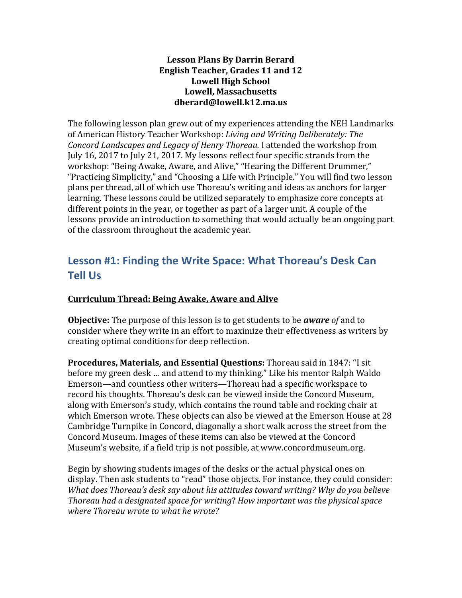#### **Lesson Plans By Darrin Berard English Teacher, Grades 11 and 12** Lowell High School **Lowell, Massachusetts dberard@lowell.k12.ma.us**

The following lesson plan grew out of my experiences attending the NEH Landmarks of American History Teacher Workshop: *Living and Writing Deliberately: The Concord Landscapes and Legacy of Henry Thoreau.* I attended the workshop from July 16, 2017 to July 21, 2017. My lessons reflect four specific strands from the workshop: "Being Awake, Aware, and Alive," "Hearing the Different Drummer," "Practicing Simplicity," and "Choosing a Life with Principle." You will find two lesson plans per thread, all of which use Thoreau's writing and ideas as anchors for larger learning. These lessons could be utilized separately to emphasize core concepts at different points in the year, or together as part of a larger unit. A couple of the lessons provide an introduction to something that would actually be an ongoing part of the classroom throughout the academic year.

# Lesson #1: Finding the Write Space: What Thoreau's Desk Can **Tell Us**

## **Curriculum Thread: Being Awake, Aware and Alive**

**Objective:** The purpose of this lesson is to get students to be *aware of* and to consider where they write in an effort to maximize their effectiveness as writers by creating optimal conditions for deep reflection.

**Procedures, Materials, and Essential Questions:** Thoreau said in 1847: "I sit before my green desk ... and attend to my thinking." Like his mentor Ralph Waldo Emerson—and countless other writers—Thoreau had a specific workspace to record his thoughts. Thoreau's desk can be viewed inside the Concord Museum, along with Emerson's study, which contains the round table and rocking chair at which Emerson wrote. These objects can also be viewed at the Emerson House at 28 Cambridge Turnpike in Concord, diagonally a short walk across the street from the Concord Museum. Images of these items can also be viewed at the Concord Museum's website, if a field trip is not possible, at www.concordmuseum.org.

Begin by showing students images of the desks or the actual physical ones on display. Then ask students to "read" those objects. For instance, they could consider: *What does Thoreau's desk say about his attitudes toward writing? Why do you believe Thoreau had a designated space for writing? How important was the physical space where Thoreau wrote to what he wrote?*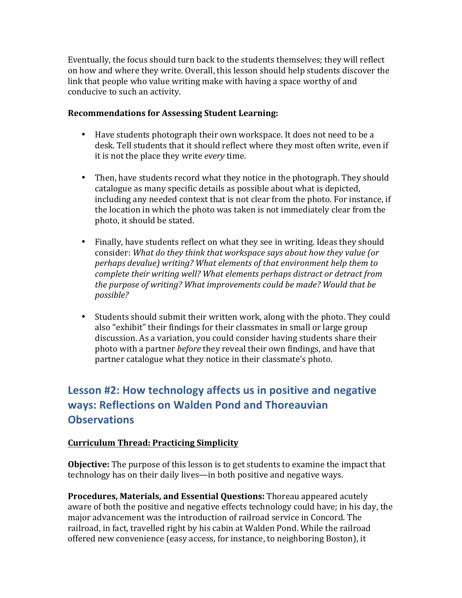Eventually, the focus should turn back to the students themselves; they will reflect on how and where they write. Overall, this lesson should help students discover the link that people who value writing make with having a space worthy of and conducive to such an activity.

#### **Recommendations for Assessing Student Learning:**

- Have students photograph their own workspace. It does not need to be a desk. Tell students that it should reflect where they most often write, even if it is not the place they write *every* time.
- Then, have students record what they notice in the photograph. They should catalogue as many specific details as possible about what is depicted, including any needed context that is not clear from the photo. For instance, if the location in which the photo was taken is not immediately clear from the photo, it should be stated.
- Finally, have students reflect on what they see in writing. Ideas they should consider: What do they think that workspace says about how they value (or *perhaps devalue)* writing? What elements of that environment help them to *complete their writing well? What elements perhaps distract or detract from* the purpose of writing? What improvements could be made? Would that be *possible?*
- Students should submit their written work, along with the photo. They could also "exhibit" their findings for their classmates in small or large group discussion. As a variation, you could consider having students share their photo with a partner *before* they reveal their own findings, and have that partner catalogue what they notice in their classmate's photo.

# **Lesson #2: How technology affects us in positive and negative ways: Reflections on Walden Pond and Thoreauvian Observations**

# **Curriculum Thread: Practicing Simplicity**

**Objective:** The purpose of this lesson is to get students to examine the impact that technology has on their daily lives—in both positive and negative ways.

**Procedures, Materials, and Essential Questions:** Thoreau appeared acutely aware of both the positive and negative effects technology could have; in his day, the major advancement was the introduction of railroad service in Concord. The railroad, in fact, travelled right by his cabin at Walden Pond. While the railroad offered new convenience (easy access, for instance, to neighboring Boston), it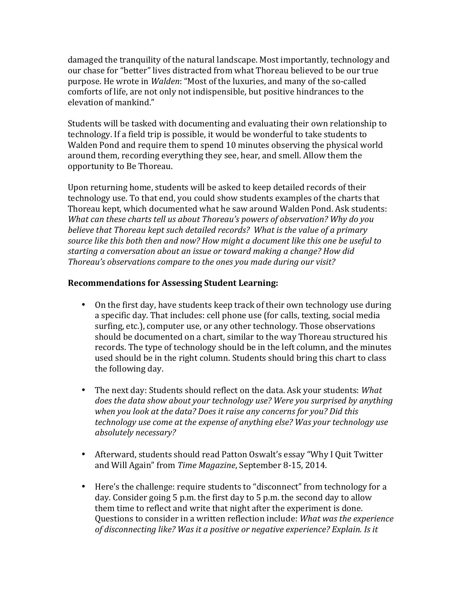damaged the tranquility of the natural landscape. Most importantly, technology and our chase for "better" lives distracted from what Thoreau believed to be our true purpose. He wrote in *Walden*: "Most of the luxuries, and many of the so-called comforts of life, are not only not indispensible, but positive hindrances to the elevation of mankind."

Students will be tasked with documenting and evaluating their own relationship to technology. If a field trip is possible, it would be wonderful to take students to Walden Pond and require them to spend 10 minutes observing the physical world around them, recording everything they see, hear, and smell. Allow them the opportunity to Be Thoreau.

Upon returning home, students will be asked to keep detailed records of their technology use. To that end, you could show students examples of the charts that Thoreau kept, which documented what he saw around Walden Pond. Ask students: *What can these charts tell us about Thoreau's powers of observation? Why do you believe* that Thoreau kept such detailed records? What is the value of a primary source like this both then and now? How might a document like this one be useful to starting a conversation about an issue or toward making a change? How did Thoreau's observations compare to the ones you made during our visit?

- On the first day, have students keep track of their own technology use during a specific day. That includes: cell phone use (for calls, texting, social media surfing, etc.), computer use, or any other technology. Those observations should be documented on a chart, similar to the way Thoreau structured his records. The type of technology should be in the left column, and the minutes used should be in the right column. Students should bring this chart to class the following day.
- The next day: Students should reflect on the data. Ask your students: What *does* the data show about your technology use? Were you surprised by anything when you look at the data? Does it raise any concerns for you? Did this *technology use come at the expense of anything else? Was your technology use absolutely necessary?*
- Afterward, students should read Patton Oswalt's essay "Why I Quit Twitter and Will Again" from *Time Magazine*, September 8-15, 2014.
- Here's the challenge: require students to "disconnect" from technology for a day. Consider going 5 p.m. the first day to 5 p.m. the second day to allow them time to reflect and write that night after the experiment is done. Questions to consider in a written reflection include: What was the experience of disconnecting like? Was it a positive or negative experience? Explain. Is it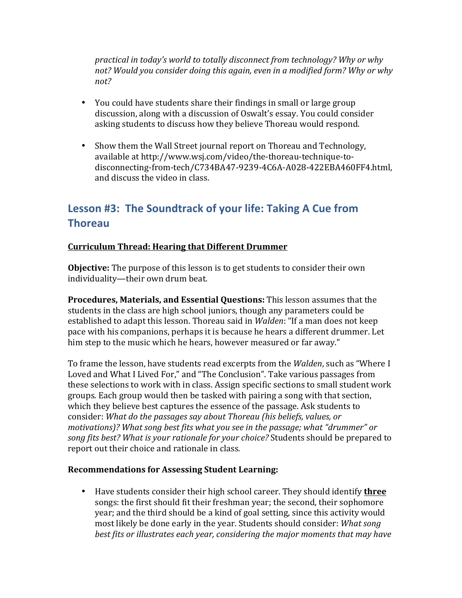*practical in today's world to totally disconnect from technology? Why or why* not? Would you consider doing this again, even in a modified form? Why or why *not?*

- You could have students share their findings in small or large group discussion, along with a discussion of Oswalt's essay. You could consider asking students to discuss how they believe Thoreau would respond.
- Show them the Wall Street journal report on Thoreau and Technology, available at http://www.wsj.com/video/the-thoreau-technique-todisconnecting-from-tech/C734BA47-9239-4C6A-A028-422EBA460FF4.html, and discuss the video in class.

# Lesson #3: The Soundtrack of your life: Taking A Cue from **Thoreau**

### **Curriculum Thread: Hearing that Different Drummer**

**Objective:** The purpose of this lesson is to get students to consider their own individuality—their own drum beat.

**Procedures, Materials, and Essential Questions:** This lesson assumes that the students in the class are high school juniors, though any parameters could be established to adapt this lesson. Thoreau said in *Walden*: "If a man does not keep pace with his companions, perhaps it is because he hears a different drummer. Let him step to the music which he hears, however measured or far away."

To frame the lesson, have students read excerpts from the *Walden*, such as "Where I Loved and What I Lived For," and "The Conclusion". Take various passages from these selections to work with in class. Assign specific sections to small student work groups. Each group would then be tasked with pairing a song with that section, which they believe best captures the essence of the passage. Ask students to consider: What do the passages say about Thoreau (his beliefs, values, or motivations)? What song best fits what you see in the passage; what "drummer" or song fits best? What is your rationale for your choice? Students should be prepared to report out their choice and rationale in class.

#### **Recommendations for Assessing Student Learning:**

• Have students consider their high school career. They should identify **three** songs: the first should fit their freshman year; the second, their sophomore year; and the third should be a kind of goal setting, since this activity would most likely be done early in the year. Students should consider: *What song* best fits or illustrates each year, considering the major moments that may have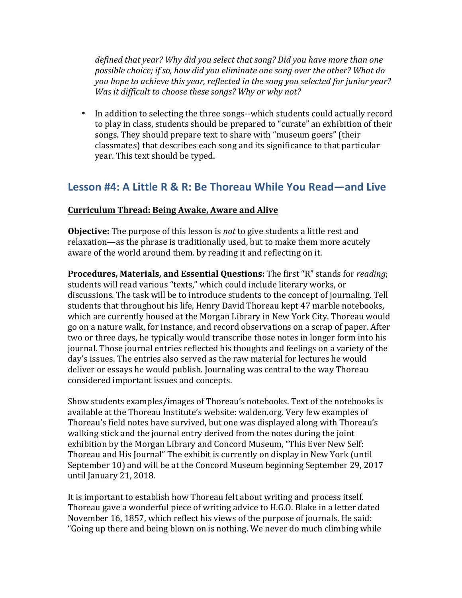*defined that year?* Why did you select that song? Did you have more than one *possible choice; if so, how did you eliminate one song over the other? What do you hope to achieve this year, reflected in the song you selected for junior year? Was it difficult to choose these songs? Why or why not?* 

• In addition to selecting the three songs--which students could actually record to play in class, students should be prepared to "curate" an exhibition of their songs. They should prepare text to share with "museum goers" (their classmates) that describes each song and its significance to that particular year. This text should be typed.

# Lesson #4: A Little R & R: Be Thoreau While You Read—and Live

### **Curriculum Thread: Being Awake, Aware and Alive**

**Objective:** The purpose of this lesson is *not* to give students a little rest and relaxation—as the phrase is traditionally used, but to make them more acutely aware of the world around them. by reading it and reflecting on it.

**Procedures, Materials, and Essential Questions:** The first "R" stands for *reading*; students will read various "texts," which could include literary works, or discussions. The task will be to introduce students to the concept of journaling. Tell students that throughout his life, Henry David Thoreau kept 47 marble notebooks, which are currently housed at the Morgan Library in New York City. Thoreau would go on a nature walk, for instance, and record observations on a scrap of paper. After two or three days, he typically would transcribe those notes in longer form into his journal. Those journal entries reflected his thoughts and feelings on a variety of the day's issues. The entries also served as the raw material for lectures he would deliver or essays he would publish. Journaling was central to the way Thoreau considered important issues and concepts.

Show students examples/images of Thoreau's notebooks. Text of the notebooks is available at the Thoreau Institute's website: walden.org. Very few examples of Thoreau's field notes have survived, but one was displayed along with Thoreau's walking stick and the journal entry derived from the notes during the joint exhibition by the Morgan Library and Concord Museum, "This Ever New Self: Thoreau and His Journal" The exhibit is currently on display in New York (until September 10) and will be at the Concord Museum beginning September 29, 2017 until January 21, 2018.

It is important to establish how Thoreau felt about writing and process itself. Thoreau gave a wonderful piece of writing advice to H.G.O. Blake in a letter dated November 16, 1857, which reflect his views of the purpose of journals. He said: "Going up there and being blown on is nothing. We never do much climbing while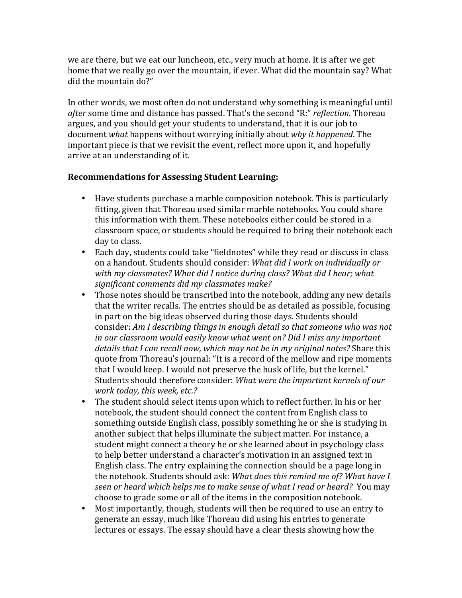we are there, but we eat our luncheon, etc., very much at home. It is after we get home that we really go over the mountain, if ever. What did the mountain say? What did the mountain do?"

In other words, we most often do not understand why something is meaningful until after some time and distance has passed. That's the second "R:" *reflection*. Thoreau argues, and you should get your students to understand, that it is our job to document *what* happens without worrying initially about why it happened. The important piece is that we revisit the event, reflect more upon it, and hopefully arrive at an understanding of it.

- Have students purchase a marble composition notebook. This is particularly fitting, given that Thoreau used similar marble notebooks. You could share this information with them. These notebooks either could be stored in a classroom space, or students should be required to bring their notebook each day to class.
- Each day, students could take "fieldnotes" while they read or discuss in class on a handout. Students should consider: *What did I work on individually or* with my classmates? What did I notice during class? What did I hear; what significant comments did my classmates make?
- Those notes should be transcribed into the notebook, adding any new details that the writer recalls. The entries should be as detailed as possible, focusing in part on the big ideas observed during those days. Students should consider: Am I describing things in enough detail so that someone who was not *in* our classroom would easily know what went on? Did I miss any important *details that I can recall now, which may not be in my original notes?* Share this quote from Thoreau's journal: "It is a record of the mellow and ripe moments that I would keep. I would not preserve the husk of life, but the kernel." Students should therefore consider: *What were the important kernels of our work today, this week, etc.?*
- The student should select items upon which to reflect further. In his or her notebook, the student should connect the content from English class to something outside English class, possibly something he or she is studying in another subject that helps illuminate the subject matter. For instance, a student might connect a theory he or she learned about in psychology class to help better understand a character's motivation in an assigned text in English class. The entry explaining the connection should be a page long in the notebook. Students should ask: What does this remind me of? What have I *seen or heard which helps me to make sense of what I read or heard?* You may choose to grade some or all of the items in the composition notebook.
- Most importantly, though, students will then be required to use an entry to generate an essay, much like Thoreau did using his entries to generate lectures or essays. The essay should have a clear thesis showing how the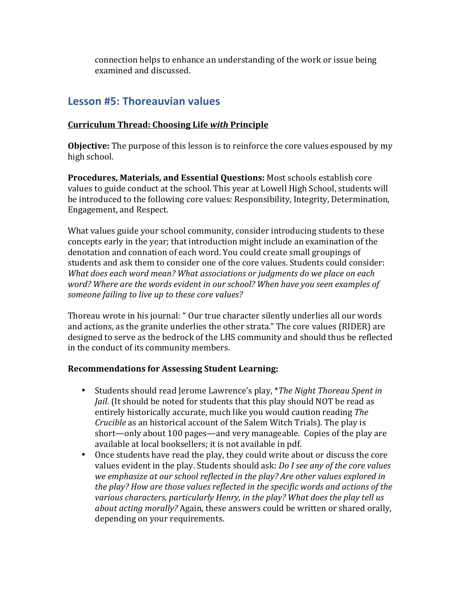connection helps to enhance an understanding of the work or issue being examined and discussed.

# Lesson #5: Thoreauvian values

# **Curriculum Thread: Choosing Life** *with* **Principle**

**Objective:** The purpose of this lesson is to reinforce the core values espoused by my high school.

**Procedures, Materials, and Essential Questions: Most schools establish core** values to guide conduct at the school. This year at Lowell High School, students will be introduced to the following core values: Responsibility, Integrity, Determination, Engagement, and Respect.

What values guide your school community, consider introducing students to these concepts early in the year; that introduction might include an examination of the denotation and connation of each word. You could create small groupings of students and ask them to consider one of the core values. Students could consider: *What does each word mean? What associations or judgments do we place on each* word? Where are the words evident in our school? When have you seen examples of someone failing to live up to these core values?

Thoreau wrote in his journal: " Our true character silently underlies all our words and actions, as the granite underlies the other strata." The core values (RIDER) are designed to serve as the bedrock of the LHS community and should thus be reflected in the conduct of its community members.

- Students should read Jerome Lawrence's play, *\*The Night Thoreau Spent in Jail.* (It should be noted for students that this play should NOT be read as entirely historically accurate, much like you would caution reading *The Crucible* as an historical account of the Salem Witch Trials). The play is short—only about 100 pages—and very manageable. Copies of the play are available at local booksellers; it is not available in pdf.
- Once students have read the play, they could write about or discuss the core values evident in the play. Students should ask: *Do I see any of the core values* we emphasize at our school reflected in the play? Are other values explored in the play? How are those values reflected in the specific words and actions of the various characters, particularly Henry, in the play? What does the play tell us *about acting morally?* Again, these answers could be written or shared orally, depending on your requirements.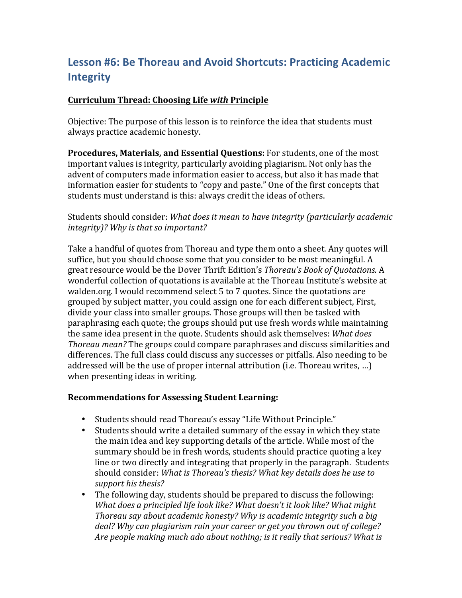# **Lesson #6: Be Thoreau and Avoid Shortcuts: Practicing Academic Integrity**

#### **Curriculum Thread: Choosing Life** *with* **Principle**

Objective: The purpose of this lesson is to reinforce the idea that students must always practice academic honesty.

**Procedures, Materials, and Essential Questions:** For students, one of the most important values is integrity, particularly avoiding plagiarism. Not only has the advent of computers made information easier to access, but also it has made that information easier for students to "copy and paste." One of the first concepts that students must understand is this: always credit the ideas of others.

### Students should consider: *What does it mean to have integrity (particularly academic integrity*)? Why is that so important?

Take a handful of quotes from Thoreau and type them onto a sheet. Any quotes will suffice, but you should choose some that you consider to be most meaningful. A great resource would be the Dover Thrift Edition's *Thoreau's Book of Quotations.* A wonderful collection of quotations is available at the Thoreau Institute's website at walden.org. I would recommend select 5 to 7 quotes. Since the quotations are grouped by subject matter, you could assign one for each different subject, First, divide your class into smaller groups. Those groups will then be tasked with paraphrasing each quote; the groups should put use fresh words while maintaining the same idea present in the quote. Students should ask themselves: What does *Thoreau mean?* The groups could compare paraphrases and discuss similarities and differences. The full class could discuss any successes or pitfalls. Also needing to be addressed will be the use of proper internal attribution (i.e. Thoreau writes, ...) when presenting ideas in writing.

- Students should read Thoreau's essay "Life Without Principle."
- Students should write a detailed summary of the essay in which they state the main idea and key supporting details of the article. While most of the summary should be in fresh words, students should practice quoting a key line or two directly and integrating that properly in the paragraph. Students should consider: What is Thoreau's thesis? What key details does he use to support his thesis?
- The following day, students should be prepared to discuss the following: *What does a principled life look like? What doesn't it look like? What might Thoreau say about academic honesty? Why is academic integrity such a big* deal? Why can plagiarism ruin your career or get you thrown out of college? *Are people making much ado about nothing; is it really that serious? What is*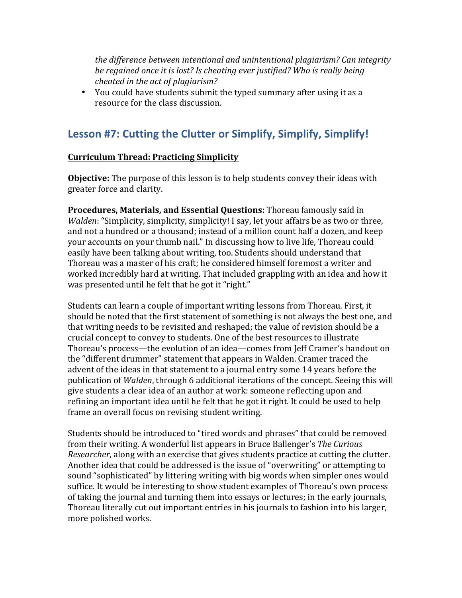*the difference between intentional and unintentional plagiarism?* Can integrity *be regained once it is lost? Is cheating ever justified? Who is really being cheated in the act of plagiarism?* 

• You could have students submit the typed summary after using it as a resource for the class discussion.

# Lesson #7: Cutting the Clutter or Simplify, Simplify, Simplify!

### **Curriculum Thread: Practicing Simplicity**

**Objective:** The purpose of this lesson is to help students convey their ideas with greater force and clarity.

**Procedures, Materials, and Essential Questions:** Thoreau famously said in *Walden*: "Simplicity, simplicity, simplicity! I say, let your affairs be as two or three, and not a hundred or a thousand; instead of a million count half a dozen, and keep your accounts on your thumb nail." In discussing how to live life, Thoreau could easily have been talking about writing, too. Students should understand that Thoreau was a master of his craft; he considered himself foremost a writer and worked incredibly hard at writing. That included grappling with an idea and how it was presented until he felt that he got it "right."

Students can learn a couple of important writing lessons from Thoreau. First, it should be noted that the first statement of something is not always the best one, and that writing needs to be revisited and reshaped; the value of revision should be a crucial concept to convey to students. One of the best resources to illustrate Thoreau's process—the evolution of an idea—comes from Jeff Cramer's handout on the "different drummer" statement that appears in Walden. Cramer traced the advent of the ideas in that statement to a journal entry some 14 years before the publication of *Walden*, through 6 additional iterations of the concept. Seeing this will give students a clear idea of an author at work: someone reflecting upon and refining an important idea until he felt that he got it right. It could be used to help frame an overall focus on revising student writing.

Students should be introduced to "tired words and phrases" that could be removed from their writing. A wonderful list appears in Bruce Ballenger's *The Curious Researcher*, along with an exercise that gives students practice at cutting the clutter. Another idea that could be addressed is the issue of "overwriting" or attempting to sound "sophisticated" by littering writing with big words when simpler ones would suffice. It would be interesting to show student examples of Thoreau's own process of taking the journal and turning them into essays or lectures; in the early journals, Thoreau literally cut out important entries in his journals to fashion into his larger, more polished works.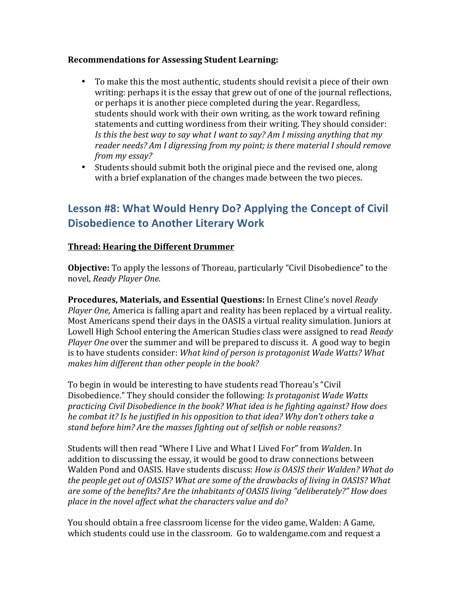#### **Recommendations for Assessing Student Learning:**

- To make this the most authentic, students should revisit a piece of their own writing: perhaps it is the essay that grew out of one of the journal reflections, or perhaps it is another piece completed during the year. Regardless, students should work with their own writing, as the work toward refining statements and cutting wordiness from their writing. They should consider: *Is this the best way to say what I want to say? Am I missing anything that my reader needs?* Am I digressing from my point; is there material I should remove *from my essay?*
- Students should submit both the original piece and the revised one, along with a brief explanation of the changes made between the two pieces.

# Lesson #8: What Would Henry Do? Applying the Concept of Civil **Disobedience to Another Literary Work**

#### **Thread: Hearing the Different Drummer**

**Objective:** To apply the lessons of Thoreau, particularly "Civil Disobedience" to the novel, *Ready Player One*.

**Procedures, Materials, and Essential Questions:** In Ernest Cline's novel Ready *Player One*, America is falling apart and reality has been replaced by a virtual reality. Most Americans spend their days in the OASIS a virtual reality simulation. Juniors at Lowell High School entering the American Studies class were assigned to read *Ready Player One* over the summer and will be prepared to discuss it. A good way to begin is to have students consider: *What kind of person is protagonist Wade Watts? What* makes him different than other people in the book?

To begin in would be interesting to have students read Thoreau's "Civil Disobedience." They should consider the following: *Is protagonist Wade Watts practicing Civil Disobedience in the book? What idea is he fighting against? How does he* combat it? Is he justified in his opposition to that idea? Why don't others take a stand before him? Are the masses fighting out of selfish or noble reasons?

Students will then read "Where I Live and What I Lived For" from *Walden*. In addition to discussing the essay, it would be good to draw connections between Walden Pond and OASIS. Have students discuss: *How is OASIS their Walden? What do* the people get out of *OASIS?* What are some of the drawbacks of living in *OASIS?* What are some of the benefits? Are the inhabitants of OASIS living "deliberately?" How does place in the novel affect what the characters value and do?

You should obtain a free classroom license for the video game, Walden: A Game, which students could use in the classroom. Go to waldengame.com and request a